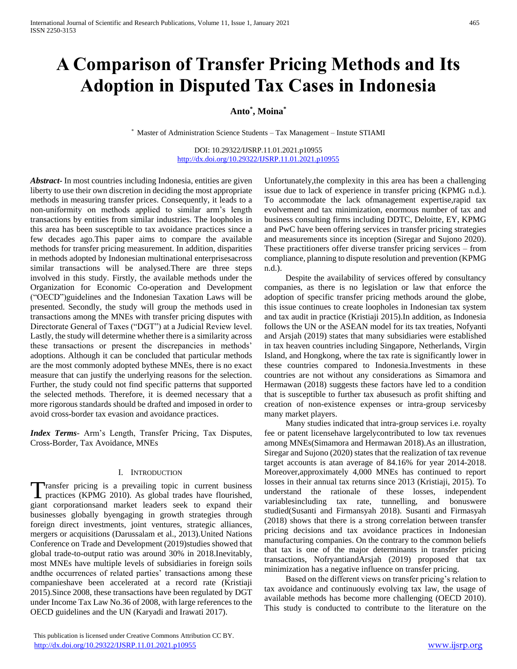# **A Comparison of Transfer Pricing Methods and Its Adoption in Disputed Tax Cases in Indonesia**

# **Anto\* , Moina\***

\* Master of Administration Science Students – Tax Management – Instute STIAMI

DOI: 10.29322/IJSRP.11.01.2021.p10955 <http://dx.doi.org/10.29322/IJSRP.11.01.2021.p10955>

*Abstract***-** In most countries including Indonesia, entities are given liberty to use their own discretion in deciding the most appropriate methods in measuring transfer prices. Consequently, it leads to a non-uniformity on methods applied to similar arm's length transactions by entities from similar industries. The loopholes in this area has been susceptible to tax avoidance practices since a few decades ago.This paper aims to compare the available methods for transfer pricing measurement. In addition, disparities in methods adopted by Indonesian multinational enterprisesacross similar transactions will be analysed.There are three steps involved in this study. Firstly, the available methods under the Organization for Economic Co-operation and Development ("OECD")guidelines and the Indonesian Taxation Laws will be presented. Secondly, the study will group the methods used in transactions among the MNEs with transfer pricing disputes with Directorate General of Taxes ("DGT") at a Judicial Review level. Lastly, the study will determine whether there is a similarity across these transactions or present the discrepancies in methods' adoptions. Although it can be concluded that particular methods are the most commonly adopted bythese MNEs, there is no exact measure that can justify the underlying reasons for the selection. Further, the study could not find specific patterns that supported the selected methods. Therefore, it is deemed necessary that a more rigorous standards should be drafted and imposed in order to avoid cross-border tax evasion and avoidance practices.

*Index Terms*- Arm's Length, Transfer Pricing, Tax Disputes, Cross-Border, Tax Avoidance, MNEs

#### I. INTRODUCTION

Transfer pricing is a prevailing topic in current business Transfer pricing is a prevailing topic in current business practices (KPMG 2010). As global trades have flourished, giant corporationsand market leaders seek to expand their businesses globally byengaging in growth strategies through foreign direct investments, joint ventures, strategic alliances, mergers or acquisitions (Darussalam et al., 2013).United Nations Conference on Trade and Development (2019)studies showed that global trade-to-output ratio was around 30% in 2018.Inevitably, most MNEs have multiple levels of subsidiaries in foreign soils andthe occurrences of related parties' transactions among these companieshave been accelerated at a record rate (Kristiaji 2015).Since 2008, these transactions have been regulated by DGT under Income Tax Law No.36 of 2008, with large references to the OECD guidelines and the UN (Karyadi and Irawati 2017).

 This publication is licensed under Creative Commons Attribution CC BY. <http://dx.doi.org/10.29322/IJSRP.11.01.2021.p10955> [www.ijsrp.org](http://ijsrp.org/)

Unfortunately,the complexity in this area has been a challenging issue due to lack of experience in transfer pricing (KPMG n.d.). To accommodate the lack ofmanagement expertise,rapid tax evolvement and tax minimization, enormous number of tax and business consulting firms including DDTC, Deloitte, EY, KPMG and PwC have been offering services in transfer pricing strategies and measurements since its inception (Siregar and Sujono 2020). These practitioners offer diverse transfer pricing services – from compliance, planning to dispute resolution and prevention (KPMG n.d.).

 Despite the availability of services offered by consultancy companies, as there is no legislation or law that enforce the adoption of specific transfer pricing methods around the globe, this issue continues to create loopholes in Indonesian tax system and tax audit in practice (Kristiaji 2015).In addition, as Indonesia follows the UN or the ASEAN model for its tax treaties, Nofyanti and Arsjah (2019) states that many subsidiaries were established in tax heaven countries including Singapore, Netherlands, Virgin Island, and Hongkong, where the tax rate is significantly lower in these countries compared to Indonesia.Investments in these countries are not without any considerations as Simamora and Hermawan (2018) suggests these factors have led to a condition that is susceptible to further tax abusesuch as profit shifting and creation of non-existence expenses or intra-group servicesby many market players.

 Many studies indicated that intra-group services i.e. royalty fee or patent licensehave largelycontributed to low tax revenues among MNEs(Simamora and Hermawan 2018).As an illustration, Siregar and Sujono (2020) states that the realization of tax revenue target accounts is atan average of 84.16% for year 2014-2018. Moreover,approximately 4,000 MNEs has continued to report losses in their annual tax returns since 2013 (Kristiaji, 2015). To understand the rationale of these losses, independent variablesincluding tax rate, tunnelling, and bonuswere studied(Susanti and Firmansyah 2018). Susanti and Firmasyah (2018) shows that there is a strong correlation between transfer pricing decisions and tax avoidance practices in Indonesian manufacturing companies. On the contrary to the common beliefs that tax is one of the major determinants in transfer pricing transactions, NofryantiandArsjah (2019) proposed that tax minimization has a negative influence on transfer pricing.

 Based on the different views on transfer pricing's relation to tax avoidance and continuously evolving tax law, the usage of available methods has become more challenging (OECD 2010). This study is conducted to contribute to the literature on the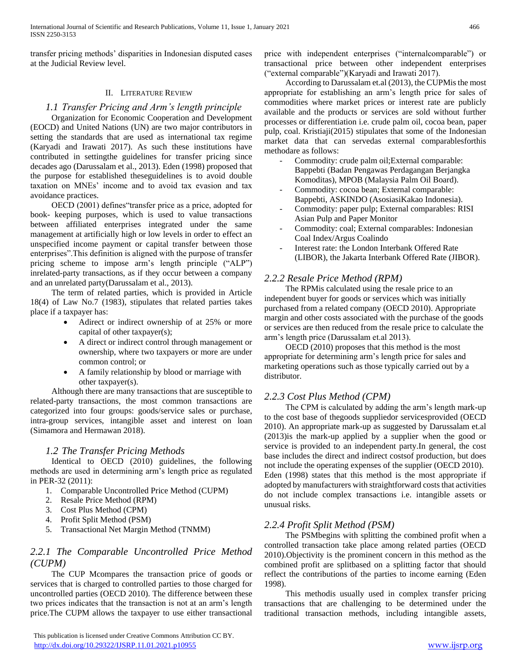transfer pricing methods' disparities in Indonesian disputed cases at the Judicial Review level.

#### II. LITERATURE REVIEW

# *1.1 Transfer Pricing and Arm's length principle*

 Organization for Economic Cooperation and Development (EOCD) and United Nations (UN) are two major contributors in setting the standards that are used as international tax regime (Karyadi and Irawati 2017). As such these institutions have contributed in settingthe guidelines for transfer pricing since decades ago (Darussalam et al., 2013). Eden (1998) proposed that the purpose for established theseguidelines is to avoid double taxation on MNEs' income and to avoid tax evasion and tax avoidance practices.

 OECD (2001) defines"transfer price as a price, adopted for book- keeping purposes, which is used to value transactions between affiliated enterprises integrated under the same management at artificially high or low levels in order to effect an unspecified income payment or capital transfer between those enterprises".This definition is aligned with the purpose of transfer pricing scheme to impose arm's length principle ("ALP") inrelated-party transactions, as if they occur between a company and an unrelated party(Darussalam et al., 2013).

 The term of related parties, which is provided in Article 18(4) of Law No.7 (1983), stipulates that related parties takes place if a taxpayer has:

- Adirect or indirect ownership of at 25% or more capital of other taxpayer(s);
- A direct or indirect control through management or ownership, where two taxpayers or more are under common control; or
- A family relationship by blood or marriage with other taxpayer(s).

 Although there are many transactions that are susceptible to related-party transactions, the most common transactions are categorized into four groups: goods/service sales or purchase, intra-group services, intangible asset and interest on loan (Simamora and Hermawan 2018).

# *1.2 The Transfer Pricing Methods*

 Identical to OECD (2010) guidelines, the following methods are used in determining arm's length price as regulated in PER-32 (2011):

- 1. Comparable Uncontrolled Price Method (CUPM)
- 2. Resale Price Method (RPM)
- 3. Cost Plus Method (CPM)
- 4. Profit Split Method (PSM)
- 5. Transactional Net Margin Method (TNMM)

# *2.2.1 The Comparable Uncontrolled Price Method (CUPM)*

 The CUP Mcompares the transaction price of goods or services that is charged to controlled parties to those charged for uncontrolled parties (OECD 2010). The difference between these two prices indicates that the transaction is not at an arm's length price.The CUPM allows the taxpayer to use either transactional price with independent enterprises ("internalcomparable") or transactional price between other independent enterprises ("external comparable")(Karyadi and Irawati 2017).

 According to Darussalam et.al (2013), the CUPMis the most appropriate for establishing an arm's length price for sales of commodities where market prices or interest rate are publicly available and the products or services are sold without further processes or differentiation i.e. crude palm oil, cocoa bean, paper pulp, coal. Kristiaji(2015) stipulates that some of the Indonesian market data that can servedas external comparablesforthis methodare as follows:

- Commodity: crude palm oil; External comparable: Bappebti (Badan Pengawas Perdagangan Berjangka Komoditas), MPOB (Malaysia Palm Oil Board).
- Commodity: cocoa bean; External comparable: Bappebti, ASKINDO (AsosiasiKakao Indonesia).
- Commodity: paper pulp; External comparables: RISI Asian Pulp and Paper Monitor
- Commodity: coal; External comparables: Indonesian Coal Index/Argus Coalindo
- Interest rate: the London Interbank Offered Rate (LIBOR), the Jakarta Interbank Offered Rate (JIBOR).

# *2.2.2 Resale Price Method (RPM)*

 The RPMis calculated using the resale price to an independent buyer for goods or services which was initially purchased from a related company (OECD 2010). Appropriate margin and other costs associated with the purchase of the goods or services are then reduced from the resale price to calculate the arm's length price (Darussalam et.al 2013).

 OECD (2010) proposes that this method is the most appropriate for determining arm's length price for sales and marketing operations such as those typically carried out by a distributor.

# *2.2.3 Cost Plus Method (CPM)*

 The CPM is calculated by adding the arm's length mark-up to the cost base of thegoods suppliedor servicesprovided (OECD 2010). An appropriate mark-up as suggested by Darussalam et.al (2013)is the mark-up applied by a supplier when the good or service is provided to an independent party.In general, the cost base includes the direct and indirect costsof production, but does not include the operating expenses of the supplier (OECD 2010). Eden (1998) states that this method is the most appropriate if adopted by manufacturers with straightforward costs that activities do not include complex transactions i.e. intangible assets or unusual risks.

# *2.2.4 Profit Split Method (PSM)*

 The PSMbegins with splitting the combined profit when a controlled transaction take place among related parties (OECD 2010).Objectivity is the prominent concern in this method as the combined profit are splitbased on a splitting factor that should reflect the contributions of the parties to income earning (Eden 1998).

 This methodis usually used in complex transfer pricing transactions that are challenging to be determined under the traditional transaction methods, including intangible assets,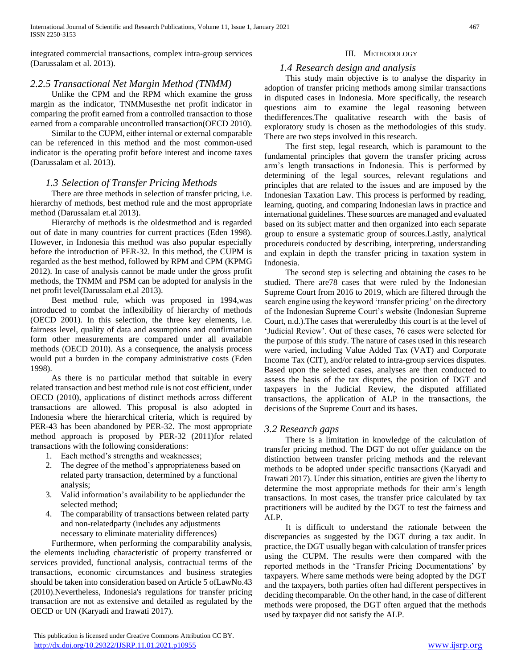integrated commercial transactions, complex intra-group services (Darussalam et al. 2013).

# *2.2.5 Transactional Net Margin Method (TNMM)*

 Unlike the CPM and the RPM which examine the gross margin as the indicator, TNMMusesthe net profit indicator in comparing the profit earned from a controlled transaction to those earned from a comparable uncontrolled transaction(OECD 2010).

 Similar to the CUPM, either internal or external comparable can be referenced in this method and the most common-used indicator is the operating profit before interest and income taxes (Darussalam et al. 2013).

# *1.3 Selection of Transfer Pricing Methods*

 There are three methods in selection of transfer pricing, i.e. hierarchy of methods, best method rule and the most appropriate method (Darussalam et.al 2013).

 Hierarchy of methods is the oldestmethod and is regarded out of date in many countries for current practices (Eden 1998). However, in Indonesia this method was also popular especially before the introduction of PER-32. In this method, the CUPM is regarded as the best method, followed by RPM and CPM (KPMG 2012). In case of analysis cannot be made under the gross profit methods, the TNMM and PSM can be adopted for analysis in the net profit level(Darussalam et.al 2013).

 Best method rule, which was proposed in 1994,was introduced to combat the inflexibility of hierarchy of methods (OECD 2001). In this selection, the three key elements, i.e. fairness level, quality of data and assumptions and confirmation form other measurements are compared under all available methods (OECD 2010). As a consequence, the analysis process would put a burden in the company administrative costs (Eden 1998).

 As there is no particular method that suitable in every related transaction and best method rule is not cost efficient, under OECD (2010), applications of distinct methods across different transactions are allowed. This proposal is also adopted in Indonesia where the hierarchical criteria, which is required by PER-43 has been abandoned by PER-32. The most appropriate method approach is proposed by PER-32 (2011)for related transactions with the following considerations:

- 1. Each method's strengths and weaknesses;
- 2. The degree of the method's appropriateness based on related party transaction, determined by a functional analysis;
- 3. Valid information's availability to be appliedunder the selected method;
- 4. The comparability of transactions between related party and non-relatedparty (includes any adjustments necessary to eliminate materiality differences)

 Furthermore, when performing the comparability analysis, the elements including characteristic of property transferred or services provided, functional analysis, contractual terms of the transactions, economic circumstances and business strategies should be taken into consideration based on Article 5 ofLawNo.43 (2010).Nevertheless, Indonesia's regulations for transfer pricing transaction are not as extensive and detailed as regulated by the OECD or UN (Karyadi and Irawati 2017).

## III. METHODOLOGY

# *1.4 Research design and analysis*

 This study main objective is to analyse the disparity in adoption of transfer pricing methods among similar transactions in disputed cases in Indonesia. More specifically, the research questions aim to examine the legal reasoning between thedifferences.The qualitative research with the basis of exploratory study is chosen as the methodologies of this study. There are two steps involved in this research.

 The first step, legal research, which is paramount to the fundamental principles that govern the transfer pricing across arm's length transactions in Indonesia. This is performed by determining of the legal sources, relevant regulations and principles that are related to the issues and are imposed by the Indonesian Taxation Law. This process is performed by reading, learning, quoting, and comparing Indonesian laws in practice and international guidelines. These sources are managed and evaluated based on its subject matter and then organized into each separate group to ensure a systematic group of sources.Lastly, analytical procedureis conducted by describing, interpreting, understanding and explain in depth the transfer pricing in taxation system in Indonesia.

 The second step is selecting and obtaining the cases to be studied. There are78 cases that were ruled by the Indonesian Supreme Court from 2016 to 2019, which are filtered through the search engine using the keyword 'transfer pricing' on the directory of the Indonesian Supreme Court's website (Indonesian Supreme Court, n.d.).The cases that wereruledby this court is at the level of 'Judicial Review'. Out of these cases, 76 cases were selected for the purpose of this study. The nature of cases used in this research were varied, including Value Added Tax (VAT) and Corporate Income Tax (CIT), and/or related to intra-group services disputes. Based upon the selected cases, analyses are then conducted to assess the basis of the tax disputes, the position of DGT and taxpayers in the Judicial Review, the disputed affiliated transactions, the application of ALP in the transactions, the decisions of the Supreme Court and its bases.

# *3.2 Research gaps*

 There is a limitation in knowledge of the calculation of transfer pricing method. The DGT do not offer guidance on the distinction between transfer pricing methods and the relevant methods to be adopted under specific transactions (Karyadi and Irawati 2017). Under this situation, entities are given the liberty to determine the most appropriate methods for their arm's length transactions. In most cases, the transfer price calculated by tax practitioners will be audited by the DGT to test the fairness and ALP.

 It is difficult to understand the rationale between the discrepancies as suggested by the DGT during a tax audit. In practice, the DGT usually began with calculation of transfer prices using the CUPM. The results were then compared with the reported methods in the 'Transfer Pricing Documentations' by taxpayers. Where same methods were being adopted by the DGT and the taxpayers, both parties often had different perspectives in deciding thecomparable. On the other hand, in the case of different methods were proposed, the DGT often argued that the methods used by taxpayer did not satisfy the ALP.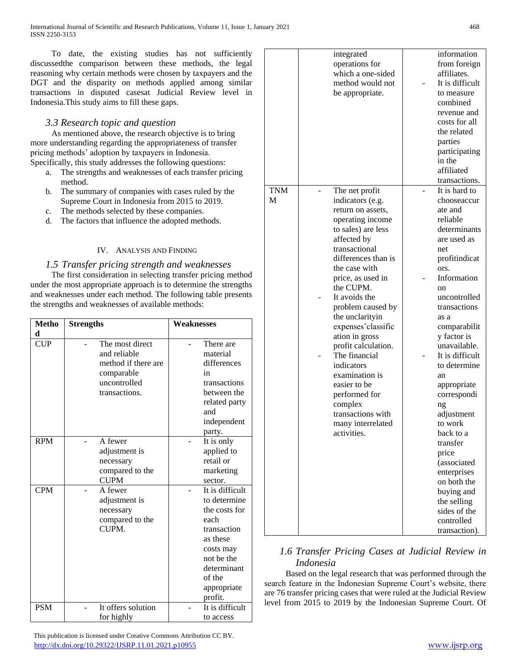To date, the existing studies has not sufficiently discussedthe comparison between these methods, the legal reasoning why certain methods were chosen by taxpayers and the DGT and the disparity on methods applied among similar transactions in disputed casesat Judicial Review level in Indonesia.This study aims to fill these gaps.

# *3.3 Research topic and question*

 As mentioned above, the research objective is to bring more understanding regarding the appropriateness of transfer pricing methods' adoption by taxpayers in Indonesia. Specifically, this study addresses the following questions:

- a. The strengths and weaknesses of each transfer pricing method.
- b. The summary of companies with cases ruled by the Supreme Court in Indonesia from 2015 to 2019.
- c. The methods selected by these companies.
- d. The factors that influence the adopted methods.

## IV. ANALYSIS AND FINDING

## *1.5 Transfer pricing strength and weaknesses*

 The first consideration in selecting transfer pricing method under the most appropriate approach is to determine the strengths and weaknesses under each method. The following table presents the strengths and weaknesses of available methods:

| <b>Metho</b><br>d | <b>Strengths</b>                                                                                      | Weaknesses                                                                                                                                                        |
|-------------------|-------------------------------------------------------------------------------------------------------|-------------------------------------------------------------------------------------------------------------------------------------------------------------------|
| <b>CUP</b>        | The most direct<br>and reliable<br>method if there are<br>comparable<br>uncontrolled<br>transactions. | There are<br>material<br>differences<br>in<br>transactions<br>between the<br>related party<br>and<br>independent<br>party.                                        |
| <b>RPM</b>        | A fewer<br>adjustment is<br>necessary<br>compared to the<br><b>CUPM</b>                               | It is only<br>applied to<br>retail or<br>marketing<br>sector.                                                                                                     |
| <b>CPM</b>        | A fewer<br>adjustment is<br>necessary<br>compared to the<br>CUPM.                                     | It is difficult<br>to determine<br>the costs for<br>each<br>transaction<br>as these<br>costs may<br>not be the<br>determinant<br>of the<br>appropriate<br>profit. |
| <b>PSM</b>        | It offers solution<br>for highly                                                                      | It is difficult<br>to access                                                                                                                                      |

|          | integrated<br>operations for<br>which a one-sided<br>method would not<br>be appropriate.                                                                                                                                                                                                                                                                                                                                                                                                   | information<br>from foreign<br>affiliates.<br>It is difficult<br>to measure<br>combined<br>revenue and<br>costs for all<br>the related<br>parties<br>participating<br>in the<br>affiliated<br>transactions.                                                                                                                                                                                                                                                                                     |
|----------|--------------------------------------------------------------------------------------------------------------------------------------------------------------------------------------------------------------------------------------------------------------------------------------------------------------------------------------------------------------------------------------------------------------------------------------------------------------------------------------------|-------------------------------------------------------------------------------------------------------------------------------------------------------------------------------------------------------------------------------------------------------------------------------------------------------------------------------------------------------------------------------------------------------------------------------------------------------------------------------------------------|
| TNM<br>M | The net profit<br>indicators (e.g.<br>return on assets,<br>operating income<br>to sales) are less<br>affected by<br>transactional<br>differences than is<br>the case with<br>price, as used in<br>the CUPM.<br>It avoids the<br>problem caused by<br>the unclarityin<br>expenses' classific<br>ation in gross<br>profit calculation.<br>The financial<br>indicators<br>examination is<br>easier to be<br>performed for<br>complex<br>transactions with<br>many interrelated<br>activities. | It is hard to<br>chooseaccur<br>ate and<br>reliable<br>determinants<br>are used as<br>net<br>profitindicat<br>ors.<br>Information<br>on<br>uncontrolled<br>transactions<br>as a<br>comparabilit<br>y factor is<br>unavailable.<br>It is difficult<br>to determine<br>an<br>appropriate<br>correspondi<br>ng<br>adjustment<br>to work<br>back to a<br>transfer<br>price<br>(associated<br>enterprises<br>on both the<br>buying and<br>the selling<br>sides of the<br>controlled<br>transaction). |

# *1.6 Transfer Pricing Cases at Judicial Review in Indonesia*

 Based on the legal research that was performed through the search feature in the Indonesian Supreme Court's website, there are 76 transfer pricing cases that were ruled at the Judicial Review level from 2015 to 2019 by the Indonesian Supreme Court. Of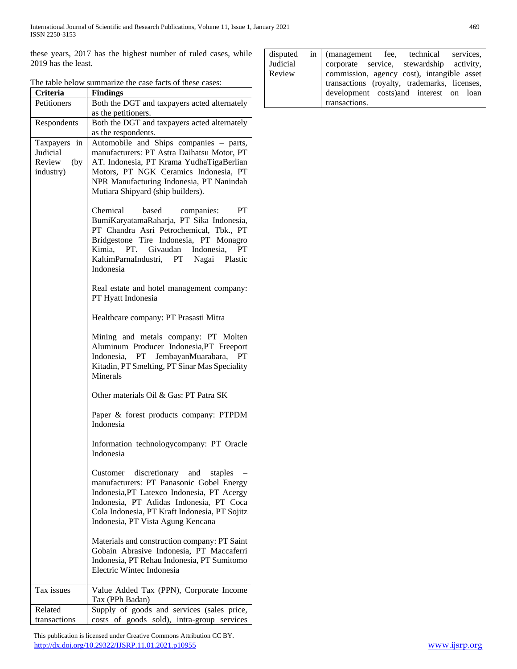these years, 2017 has the highest number of ruled cases, while 2019 has the least.

| The table below summarize the case facts of these cases: |  |
|----------------------------------------------------------|--|
|----------------------------------------------------------|--|

| Criteria       | <b>Findings</b>                                           |  |  |  |
|----------------|-----------------------------------------------------------|--|--|--|
| Petitioners    | Both the DGT and taxpayers acted alternately              |  |  |  |
|                | as the petitioners.                                       |  |  |  |
| Respondents    | Both the DGT and taxpayers acted alternately              |  |  |  |
|                | as the respondents.                                       |  |  |  |
| Taxpayers in   | Automobile and Ships companies - parts,                   |  |  |  |
| Judicial       | manufacturers: PT Astra Daihatsu Motor, PT                |  |  |  |
| Review<br>(by) | AT. Indonesia, PT Krama YudhaTigaBerlian                  |  |  |  |
| industry)      | Motors, PT NGK Ceramics Indonesia, PT                     |  |  |  |
|                | NPR Manufacturing Indonesia, PT Nanindah                  |  |  |  |
|                | Mutiara Shipyard (ship builders).                         |  |  |  |
|                | PT<br>Chemical<br>based<br>companies:                     |  |  |  |
|                | BumiKaryatamaRaharja, PT Sika Indonesia,                  |  |  |  |
|                | PT Chandra Asri Petrochemical, Tbk., PT                   |  |  |  |
|                | Bridgestone Tire Indonesia, PT Monagro                    |  |  |  |
|                | Kimia, PT. Givaudan Indonesia,<br>PT                      |  |  |  |
|                | KaltimParnaIndustri, PT Nagai Plastic<br>Indonesia        |  |  |  |
|                | Real estate and hotel management company:                 |  |  |  |
|                | PT Hyatt Indonesia                                        |  |  |  |
|                | Healthcare company: PT Prasasti Mitra                     |  |  |  |
|                | Mining and metals company: PT Molten                      |  |  |  |
|                | Aluminum Producer Indonesia, PT Freeport                  |  |  |  |
|                | Indonesia, PT JembayanMuarabara,<br>PT                    |  |  |  |
|                | Kitadin, PT Smelting, PT Sinar Mas Speciality<br>Minerals |  |  |  |
|                |                                                           |  |  |  |
|                | Other materials Oil & Gas: PT Patra SK                    |  |  |  |
|                | Paper & forest products company: PTPDM<br>Indonesia       |  |  |  |
|                |                                                           |  |  |  |
|                | Information technologycompany: PT Oracle                  |  |  |  |
|                | Indonesia                                                 |  |  |  |
|                | discretionary and staples<br>Customer                     |  |  |  |
|                | manufacturers: PT Panasonic Gobel Energy                  |  |  |  |
|                | Indonesia, PT Latexco Indonesia, PT Acergy                |  |  |  |
|                | Indonesia, PT Adidas Indonesia, PT Coca                   |  |  |  |
|                | Cola Indonesia, PT Kraft Indonesia, PT Sojitz             |  |  |  |
|                | Indonesia, PT Vista Agung Kencana                         |  |  |  |
|                | Materials and construction company: PT Saint              |  |  |  |
|                | Gobain Abrasive Indonesia, PT Maccaferri                  |  |  |  |
|                | Indonesia, PT Rehau Indonesia, PT Sumitomo                |  |  |  |
|                | Electric Wintec Indonesia                                 |  |  |  |
| Tax issues     | Value Added Tax (PPN), Corporate Income                   |  |  |  |
|                | Tax (PPh Badan)                                           |  |  |  |
| Related        | Supply of goods and services (sales price,                |  |  |  |
| transactions   | costs of goods sold), intra-group services                |  |  |  |

 This publication is licensed under Creative Commons Attribution CC BY. <http://dx.doi.org/10.29322/IJSRP.11.01.2021.p10955> [www.ijsrp.org](http://ijsrp.org/)

|          | disputed in (management fee, technical services, |
|----------|--------------------------------------------------|
| Judicial | corporate service, stewardship activity,         |
| Review   | commission, agency cost), intangible asset       |
|          | transactions (royalty, trademarks, licenses,     |
|          | development costs) and interest on loan          |
|          | transactions.                                    |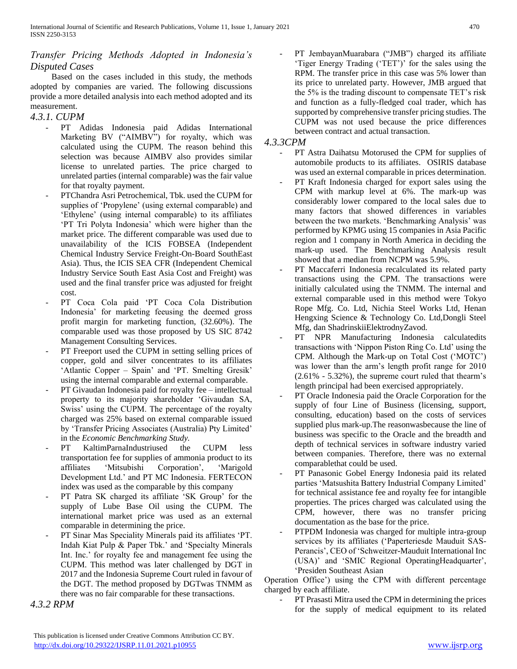# *Transfer Pricing Methods Adopted in Indonesia's Disputed Cases*

 Based on the cases included in this study, the methods adopted by companies are varied. The following discussions provide a more detailed analysis into each method adopted and its measurement.

## *4.3.1. CUPM*

- PT Adidas Indonesia paid Adidas International Marketing BV ("AIMBV") for royalty, which was calculated using the CUPM. The reason behind this selection was because AIMBV also provides similar license to unrelated parties. The price charged to unrelated parties (internal comparable) was the fair value for that royalty payment.
- PTChandra Asri Petrochemical, Tbk. used the CUPM for supplies of 'Propylene' (using external comparable) and 'Ethylene' (using internal comparable) to its affiliates 'PT Tri Polyta Indonesia' which were higher than the market price. The different comparable was used due to unavailability of the ICIS FOBSEA (Independent Chemical Industry Service Freight-On-Board SouthEast Asia). Thus, the ICIS SEA CFR (Independent Chemical Industry Service South East Asia Cost and Freight) was used and the final transfer price was adjusted for freight cost.
- PT Coca Cola paid 'PT Coca Cola Distribution Indonesia' for marketing feeusing the deemed gross profit margin for marketing function, (32.60%). The comparable used was those proposed by US SIC 8742 Management Consulting Services.
- PT Freeport used the CUPM in setting selling prices of copper, gold and silver concentrates to its affiliates 'Atlantic Copper – Spain' and 'PT. Smelting Gresik' using the internal comparable and external comparable.
- PT Givaudan Indonesia paid for royalty fee intellectual property to its majority shareholder 'Givaudan SA, Swiss' using the CUPM. The percentage of the royalty charged was 25% based on external comparable issued by 'Transfer Pricing Associates (Australia) Pty Limited' in the *Economic Benchmarking Study.*
- PT KaltimParnaIndustriused the CUPM less transportation fee for supplies of ammonia product to its affiliates 'Mitsubishi Corporation', 'Marigold Development Ltd.' and PT MC Indonesia. FERTECON index was used as the comparable by this company
- PT Patra SK charged its affiliate 'SK Group' for the supply of Lube Base Oil using the CUPM. The international market price was used as an external comparable in determining the price.
- PT Sinar Mas Speciality Minerals paid its affiliates 'PT. Indah Kiat Pulp & Paper Tbk.' and 'Specialty Minerals Int. Inc.' for royalty fee and management fee using the CUPM. This method was later challenged by DGT in 2017 and the Indonesia Supreme Court ruled in favour of the DGT. The method proposed by DGTwas TNMM as there was no fair comparable for these transactions.

*4.3.2 RPM*

PT JembayanMuarabara ("JMB") charged its affiliate 'Tiger Energy Trading ('TET')' for the sales using the RPM. The transfer price in this case was 5% lower than its price to unrelated party. However, JMB argued that the 5% is the trading discount to compensate TET's risk and function as a fully-fledged coal trader, which has supported by comprehensive transfer pricing studies. The CUPM was not used because the price differences between contract and actual transaction.

### *4.3.3CPM*

- PT Astra Daihatsu Motorused the CPM for supplies of automobile products to its affiliates. OSIRIS database was used an external comparable in prices determination.
- PT Kraft Indonesia charged for export sales using the CPM with markup level at 6%. The mark-up was considerably lower compared to the local sales due to many factors that showed differences in variables between the two markets. 'Benchmarking Analysis' was performed by KPMG using 15 companies in Asia Pacific region and 1 company in North America in deciding the mark-up used. The Benchmarking Analysis result showed that a median from NCPM was 5.9%.
- PT Maccaferri Indonesia recalculated its related party transactions using the CPM. The transactions were initially calculated using the TNMM. The internal and external comparable used in this method were Tokyo Rope Mfg. Co. Ltd, Nichia Steel Works Ltd, Henan Hengxing Science & Technology Co. Ltd,Dongli Steel Mfg, dan ShadrinskiiElektrodnyZavod.
- PT NPR Manufacturing Indonesia calculatedits transactions with 'Nippon Piston Ring Co. Ltd' using the CPM. Although the Mark-up on Total Cost ('MOTC') was lower than the arm's length profit range for 2010 (2.61% - 5.32%), the supreme court ruled that thearm's length principal had been exercised appropriately.
- PT Oracle Indonesia paid the Oracle Corporation for the supply of four Line of Business (licensing, support, consulting, education) based on the costs of services supplied plus mark-up.The reasonwasbecause the line of business was specific to the Oracle and the breadth and depth of technical services in software industry varied between companies. Therefore, there was no external comparablethat could be used.
- PT Panasonic Gobel Energy Indonesia paid its related parties 'Matsushita Battery Industrial Company Limited' for technical assistance fee and royalty fee for intangible properties. The prices charged was calculated using the CPM, however, there was no transfer pricing documentation as the base for the price.
- PTPDM Indonesia was charged for multiple intra-group services by its affiliates ('Paperteriesde Mauduit SAS-Perancis', CEO of 'Schweitzer-Mauduit International Inc (USA)' and 'SMIC Regional OperatingHeadquarter', 'Presiden Southeast Asian

Operation Office') using the CPM with different percentage charged by each affiliate.

- PT Prasasti Mitra used the CPM in determining the prices for the supply of medical equipment to its related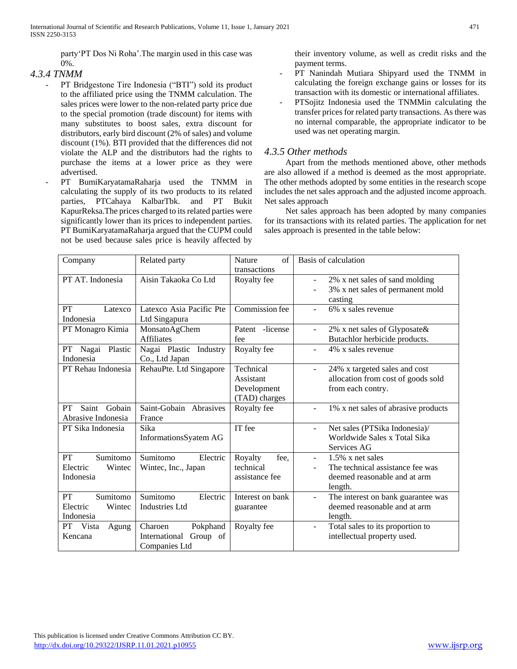party'PT Dos Ni Roha'.The margin used in this case was 0%.

# *4.3.4 TNMM*

- PT Bridgestone Tire Indonesia ("BTI") sold its product to the affiliated price using the TNMM calculation. The sales prices were lower to the non-related party price due to the special promotion (trade discount) for items with many substitutes to boost sales, extra discount for distributors, early bird discount (2% of sales) and volume discount (1%). BTI provided that the differences did not violate the ALP and the distributors had the rights to purchase the items at a lower price as they were advertised.
- PT BumiKaryatamaRaharja used the TNMM in calculating the supply of its two products to its related parties, PTCahaya KalbarTbk. and PT Bukit KapurReksa.The prices charged to its related parties were significantly lower than its prices to independent parties. PT BumiKaryatamaRaharja argued that the CUPM could not be used because sales price is heavily affected by

their inventory volume, as well as credit risks and the payment terms.

- PT Nanindah Mutiara Shipyard used the TNMM in calculating the foreign exchange gains or losses for its transaction with its domestic or international affiliates.
- PTSojitz Indonesia used the TNMMin calculating the transfer prices for related party transactions. As there was no internal comparable, the appropriate indicator to be used was net operating margin.

# *4.3.5 Other methods*

 Apart from the methods mentioned above, other methods are also allowed if a method is deemed as the most appropriate. The other methods adopted by some entities in the research scope includes the net sales approach and the adjusted income approach. Net sales approach

 Net sales approach has been adopted by many companies for its transactions with its related parties. The application for net sales approach is presented in the table below:

| Company                                           | Related party                                                     | $\alpha$ f<br><b>Nature</b><br>transactions            | Basis of calculation                                                                                                 |
|---------------------------------------------------|-------------------------------------------------------------------|--------------------------------------------------------|----------------------------------------------------------------------------------------------------------------------|
| PT AT. Indonesia                                  | Aisin Takaoka Co Ltd                                              | Royalty fee                                            | 2% x net sales of sand molding<br>$\blacksquare$<br>3% x net sales of permanent mold<br>casting                      |
| PT<br>Latexco<br>Indonesia                        | Latexco Asia Pacific Pte<br>Ltd Singapura                         | Commission fee                                         | 6% x sales revenue<br>$\blacksquare$                                                                                 |
| PT Monagro Kimia                                  | MonsatoAgChem<br><b>Affiliates</b>                                | Patent -license<br>fee                                 | 2% x net sales of Glyposate $\&$<br>$\blacksquare$<br>Butachlor herbicide products.                                  |
| Plastic<br>PT<br>Nagai<br>Indonesia               | Nagai Plastic Industry<br>Co., Ltd Japan                          | Royalty fee                                            | 4% x sales revenue<br>$\blacksquare$                                                                                 |
| PT Rehau Indonesia                                | RehauPte. Ltd Singapore                                           | Technical<br>Assistant<br>Development<br>(TAD) charges | 24% x targeted sales and cost<br>$\blacksquare$<br>allocation from cost of goods sold<br>from each contry.           |
| Gobain<br>PT<br>Saint<br>Abrasive Indonesia       | Saint-Gobain Abrasives<br>France                                  | Royalty fee                                            | 1% x net sales of abrasive products<br>$\blacksquare$                                                                |
| PT Sika Indonesia                                 | Sika<br>InformationsSyatem AG                                     | IT fee                                                 | Net sales (PTSika Indonesia)/<br>Worldwide Sales x Total Sika<br>Services AG                                         |
| PT<br>Sumitomo<br>Electric<br>Wintec<br>Indonesia | Sumitomo<br>Electric<br>Wintec, Inc., Japan                       | Royalty<br>fee,<br>technical<br>assistance fee         | $1.5\%$ x net sales<br>$\blacksquare$<br>The technical assistance fee was<br>deemed reasonable and at arm<br>length. |
| PT<br>Sumitomo<br>Electric<br>Wintec<br>Indonesia | Sumitomo<br>Electric<br><b>Industries Ltd</b>                     | Interest on bank<br>guarantee                          | The interest on bank guarantee was<br>$\blacksquare$<br>deemed reasonable and at arm<br>length.                      |
| PT Vista<br>Agung<br>Kencana                      | Charoen<br>Pokphand<br>International<br>Group of<br>Companies Ltd | Royalty fee                                            | Total sales to its proportion to<br>$\blacksquare$<br>intellectual property used.                                    |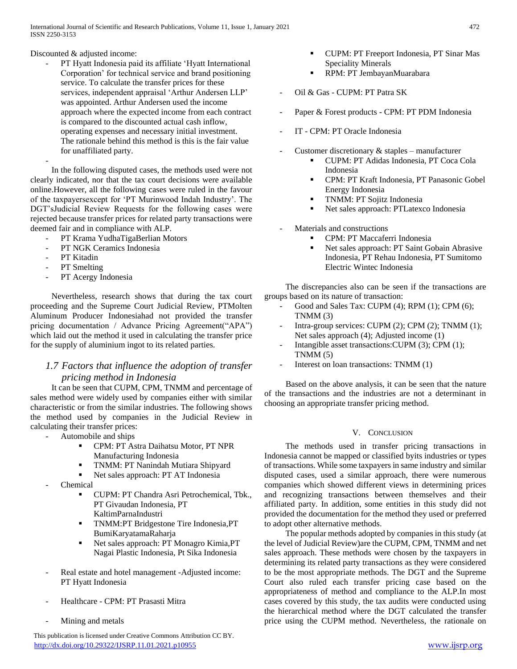Discounted & adjusted income:

PT Hyatt Indonesia paid its affiliate 'Hyatt International Corporation' for technical service and brand positioning service. To calculate the transfer prices for these services, independent appraisal 'Arthur Andersen LLP' was appointed. Arthur Andersen used the income approach where the expected income from each contract is compared to the discounted actual cash inflow, operating expenses and necessary initial investment. The rationale behind this method is this is the fair value for unaffiliated party.

 In the following disputed cases, the methods used were not clearly indicated, nor that the tax court decisions were available online.However, all the following cases were ruled in the favour of the taxpayersexcept for 'PT Murinwood Indah Industry'. The DGT'sJudicial Review Requests for the following cases were rejected because transfer prices for related party transactions were deemed fair and in compliance with ALP.

- PT Krama YudhaTigaBerlian Motors
- PT NGK Ceramics Indonesia
- PT Kitadin

-

- PT Smelting
- PT Acergy Indonesia

 Nevertheless, research shows that during the tax court proceeding and the Supreme Court Judicial Review, PTMolten Aluminum Producer Indonesiahad not provided the transfer pricing documentation / Advance Pricing Agreement("APA") which laid out the method it used in calculating the transfer price for the supply of aluminium ingot to its related parties.

# *1.7 Factors that influence the adoption of transfer pricing method in Indonesia*

 It can be seen that CUPM, CPM, TNMM and percentage of sales method were widely used by companies either with similar characteristic or from the similar industries. The following shows the method used by companies in the Judicial Review in calculating their transfer prices:

- Automobile and ships
	- **CPM: PT Astra Daihatsu Motor, PT NPR** Manufacturing Indonesia
	- TNMM: PT Nanindah Mutiara Shipyard
	- Net sales approach: PT AT Indonesia
- Chemical
	- CUPM: PT Chandra Asri Petrochemical, Tbk., PT Givaudan Indonesia, PT KaltimParnaIndustri
	- **TNMM:PT Bridgestone Tire Indonesia, PT** BumiKaryatamaRaharja
	- Net sales approach: PT Monagro Kimia,PT Nagai Plastic Indonesia, Pt Sika Indonesia
- Real estate and hotel management -Adjusted income: PT Hyatt Indonesia
- Healthcare CPM: PT Prasasti Mitra
- Mining and metals

 This publication is licensed under Creative Commons Attribution CC BY. <http://dx.doi.org/10.29322/IJSRP.11.01.2021.p10955> [www.ijsrp.org](http://ijsrp.org/)

- CUPM: PT Freeport Indonesia, PT Sinar Mas Speciality Minerals
- **RPM: PT JembayanMuarabara**
- Oil & Gas CUPM: PT Patra SK
- Paper & Forest products CPM: PT PDM Indonesia
- IT CPM: PT Oracle Indonesia
- Customer discretionary  $&$  staples manufacturer
	- CUPM: PT Adidas Indonesia, PT Coca Cola Indonesia
	- **CPM: PT Kraft Indonesia, PT Panasonic Gobel** Energy Indonesia
	- TNMM: PT Sojitz Indonesia
	- Net sales approach: PTLatexco Indonesia
- Materials and constructions
	- CPM: PT Maccaferri Indonesia
	- Net sales approach: PT Saint Gobain Abrasive Indonesia, PT Rehau Indonesia, PT Sumitomo Electric Wintec Indonesia

 The discrepancies also can be seen if the transactions are groups based on its nature of transaction:

- Good and Sales Tax: CUPM (4); RPM (1); CPM (6); TNMM (3)
- Intra-group services: CUPM  $(2)$ ; CPM  $(2)$ ; TNMM  $(1)$ ; Net sales approach (4); Adjusted income (1)
- Intangible asset transactions: CUPM (3); CPM (1);  $TNMM(5)$
- Interest on loan transactions: TNMM (1)

 Based on the above analysis, it can be seen that the nature of the transactions and the industries are not a determinant in choosing an appropriate transfer pricing method.

#### V. CONCLUSION

 The methods used in transfer pricing transactions in Indonesia cannot be mapped or classified byits industries or types of transactions. While some taxpayers in same industry and similar disputed cases, used a similar approach, there were numerous companies which showed different views in determining prices and recognizing transactions between themselves and their affiliated party. In addition, some entities in this study did not provided the documentation for the method they used or preferred to adopt other alternative methods.

 The popular methods adopted by companies in this study (at the level of Judicial Review)are the CUPM, CPM, TNMM and net sales approach. These methods were chosen by the taxpayers in determining its related party transactions as they were considered to be the most appropriate methods. The DGT and the Supreme Court also ruled each transfer pricing case based on the appropriateness of method and compliance to the ALP.In most cases covered by this study, the tax audits were conducted using the hierarchical method where the DGT calculated the transfer price using the CUPM method. Nevertheless, the rationale on